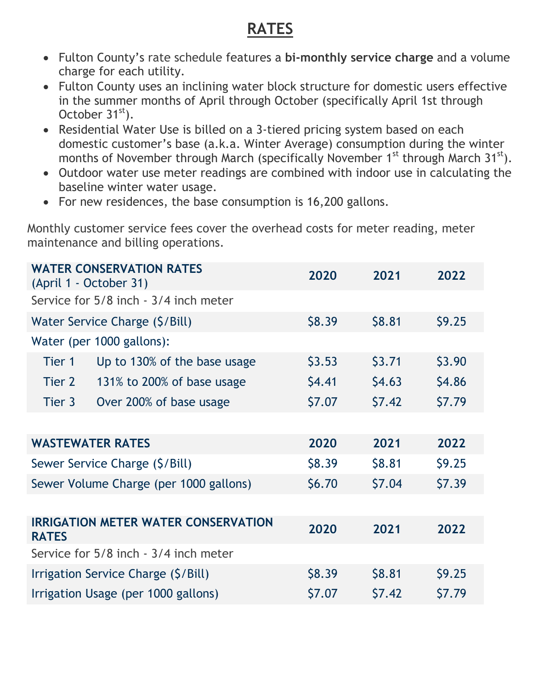## **RATES**

- Fulton County's rate schedule features a bi-monthly service charge and a volume charge for each utility.
- Fulton County uses an inclining water block structure for domestic users effective in the summer months of April through October (specifically April 1st through October 31<sup>st</sup>).
- Residential Water Use is billed on a 3-tiered pricing system based on each domestic customer's base (a.k.a. Winter Average) consumption during the winter months of November through March (specifically November  $1<sup>st</sup>$  through March  $31<sup>st</sup>$ ).
- Outdoor water use meter readings are combined with indoor use in calculating the baseline winter water usage.
- For new residences, the base consumption is 16,200 gallons.

Monthly customer service fees cover the overhead costs for meter reading, meter maintenance and billing operations.

| <b>WATER CONSERVATION RATES</b><br>(April 1 - October 31)  |                              | 2020   | 2021   | 2022   |
|------------------------------------------------------------|------------------------------|--------|--------|--------|
| Service for 5/8 inch - 3/4 inch meter                      |                              |        |        |        |
| Water Service Charge (\$/Bill)                             |                              | \$8.39 | \$8.81 | \$9.25 |
|                                                            | Water (per 1000 gallons):    |        |        |        |
| Tier 1                                                     | Up to 130% of the base usage | \$3.53 | \$3.71 | \$3.90 |
| Tier 2                                                     | 131% to 200% of base usage   | \$4.41 | \$4.63 | \$4.86 |
| Tier 3                                                     | Over 200% of base usage      | \$7.07 | \$7.42 | \$7.79 |
|                                                            |                              |        |        |        |
| <b>WASTEWATER RATES</b>                                    |                              | 2020   | 2021   | 2022   |
| Sewer Service Charge (\$/Bill)                             |                              | \$8.39 | \$8.81 | \$9.25 |
| Sewer Volume Charge (per 1000 gallons)                     |                              | \$6.70 | \$7.04 | \$7.39 |
|                                                            |                              |        |        |        |
| <b>IRRIGATION METER WATER CONSERVATION</b><br><b>RATES</b> |                              | 2020   | 2021   | 2022   |
| Service for 5/8 inch - 3/4 inch meter                      |                              |        |        |        |
| Irrigation Service Charge (\$/Bill)                        |                              | \$8.39 | \$8.81 | \$9.25 |
| Irrigation Usage (per 1000 gallons)                        |                              | \$7.07 | \$7.42 | \$7.79 |